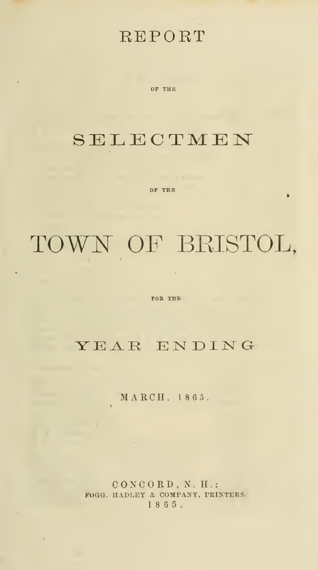# REPORT

OF THE

# SELECTMEN

#### OF THE

# TOWN OF BRISTOL,

#### FOR THE

# YEAR ENDING

#### MARCH, 1865

CONCORD, N. H.: FOGG, HADLEY & COMPANY, PRINTERS. 18 6 5.

 $\delta$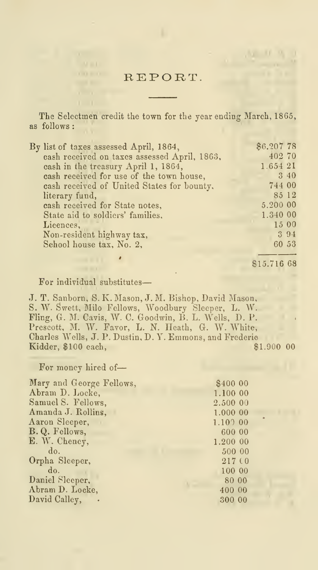#### REPORT.

The Selectmen credit the town for the year ending March, 1865, as follows:

| By list of taxes assessed April, 1864,       | \$6.207 78 |
|----------------------------------------------|------------|
| cash received on taxes assessed April, 1863, | 402 70     |
| eash in the treasury April 1, 1864,          | 1.654 21   |
| cash received for use of the town house,     | 340        |
| cash received of United States for bounty,   | 744 00     |
| literary fund,                               | 85 12      |
| cash received for State notes,               | 5.200 00   |
| State aid to soldiers' families.             | 1.340 00   |
| Licences.                                    | 15 00      |
| Non-resident highway tax,                    | 3 94       |
| School house tax, No. 2,                     | 60 53      |
|                                              |            |

<sup>\$15,716 68</sup> 

#### For individual substitutes-

J. T. Sanborn, S. K. Mason, J. M. Bishop, David Mason, S. W. Swett, Milo Fellows, Woodbury Sleeper, L. W. Fling, G. M. Cavis, W. C. Goodwin, B. L. Wells, D. P. Prescott, M. W. Favor, L. N. Heath, G. W. White, Charles Wells, J. P. Dustin, D. Y. Emmons, and Frederic Kidder, \$100 each, \$1.900 00

For money hired of-

| Mary and George Fellows, | \$400 00 |
|--------------------------|----------|
| Abram D. Locke,          | 1.100 00 |
| Samuel S. Fellows,       | 2.500 00 |
| Amanda J. Rollins,       | 1.000 00 |
| Aaron Sleeper,           | 1.10000  |
| B. Q. Fellows,           | 600 00   |
| E. W. Cheney,            | 1.200 00 |
| do.                      | 500 00   |
| Orpha Sleeper,           | 217C     |
| do.                      | 100 00   |
| Daniel Sleeper,          | 80 00    |
| Abram D. Locke,          | 400 00   |
| David Calley,            | 300 00   |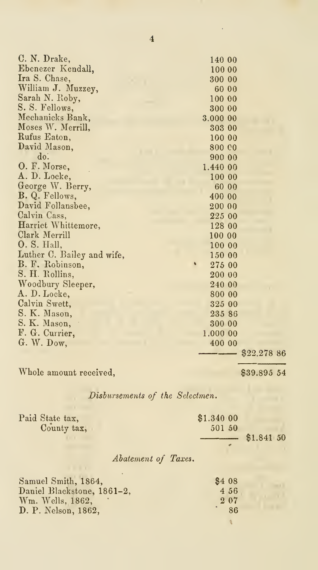| C. N. Drake,               | 140 00   |             |
|----------------------------|----------|-------------|
| Ebenezer Kendall,          | 100 00   |             |
| Ira S. Chase,              | 300 00   |             |
| William J. Muzzey,         | 60 00    |             |
| Sarah N. Roby,             | 100 00   |             |
| S. S. Fellows,             | 300 00   |             |
| Mechanicks Bank,           | 3.000 00 |             |
| Moses W. Merrill,          | 303 00   |             |
| Rufus Eaton,               | 100 00   |             |
| David Mason,               | 800 CO   |             |
| do.                        | 900 00   |             |
| O. F. Morse,               | 1.440 00 |             |
| A. D. Locke,               | 100 00   |             |
| George W. Berry,           | 60 00    |             |
| B. Q. Fellows,             | 400 00   |             |
| David Follansbee,          | 200 00   |             |
| Calvin Cass,               | 225 00   |             |
| Harriet Whittemore,        | 128 00   |             |
| Clark Merrill              | 100 00   |             |
| <b>O. S. Hall,</b>         | 100 00   |             |
| Luther C. Bailey and wife, | 150 00   |             |
| B. F. Robinson,            | 275 00   |             |
| S. H. Rollins,             | 200 00   |             |
| Woodbury Sleeper,          | 240 00   |             |
| A. D. Locke,               | 800 00   |             |
| Calvin Swett,              | 325 00   |             |
| S. K. Mason,               | 235 86   |             |
| S. K. Mason,               | 300 00   |             |
| F. G. Currier,             | 1.000 00 |             |
| $G. W.$ Dow.               | 400 00   |             |
|                            |          | \$22.278 86 |

Whole amount received,

\$39.895 54

Disbursements of the Selectmen.

| Paid State tax, | \$1.34000                                                                                                                                                                                                                            |           |  |
|-----------------|--------------------------------------------------------------------------------------------------------------------------------------------------------------------------------------------------------------------------------------|-----------|--|
| County tax,     | 501 50                                                                                                                                                                                                                               |           |  |
|                 | <u>and the company of the company of the company of the company of the company of the company of the company of the company of the company of the company of the company of the company of the company of the company of the com</u> | \$1.84150 |  |
|                 |                                                                                                                                                                                                                                      |           |  |

## Abatement of Taxes.

| Samuel Smith, 1864,        | \$408 |
|----------------------------|-------|
| Daniel Blackstone, 1861-2, | 4 56  |
| Wm. Wells, 1862,           | 2.07  |
| D. P. Nelson, 1862.        | 86    |
|                            |       |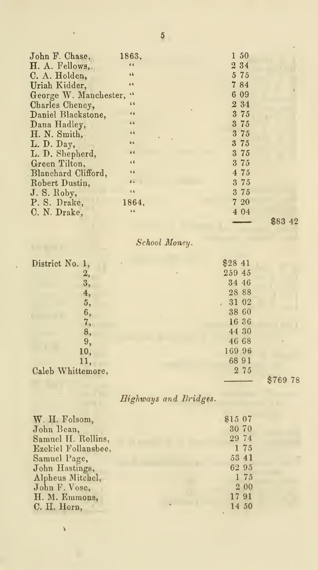| John F. Chase,        | 1863,           | 1 50  |
|-----------------------|-----------------|-------|
| H. A. Fellows,        | 66              | 234   |
| C. A. Holden,         | 66              | 5 75  |
| Uriah Kidder,         | 66              | 784   |
| George W. Manchester, | 66              | 6 0 9 |
| Charles Cheney,       | 56              | 234   |
| Daniel Blackstone,    | 66              | 3 75  |
| Dana Hadley,          | 66              | 3 75  |
| H. N. Smith,          | 66<br>$\bullet$ | 3 75  |
| L. D. Day,            | 66              | 3 75  |
| L. D. Shepherd,       | 66              | 3 75  |
| Green Tilton,         | 66              | 3 75  |
| Blanchard Clifford,   | 66              | 4 75  |
| Robert Dustin,        | $5 -$           | 3 75  |
| J.S. Roby,            | 66              | 3 75  |
| P. S. Drake,          | 1864,           | 7 20  |
| C. N. Drake,          | 66              | 4 0 4 |
|                       |                 |       |

\$83 42

\$769 78

| School Money. |  |  |
|---------------|--|--|
|---------------|--|--|

| District No. 1,<br>è | \$28 41 |
|----------------------|---------|
| 2,                   | 259 45  |
| 3,                   | 34 46   |
| 4,                   | 28 88   |
| 5,                   | 31 02   |
| 6,                   | 38 60   |
| 7,                   | 16 36   |
| 8,                   | 44 30   |
| 9,                   | 46 68   |
| 10,                  | 169 96  |
| 11,                  | 68 91   |
| Caleb Whittemore,    | 2 75    |
|                      |         |

Highways and Bridges.

| W. H. Folsom,       | \$15 07 |
|---------------------|---------|
| John Bean,          | 30 70   |
| Samuel H. Rollins,  | 29 74   |
| Ezekiel Follansbee, | 1 75    |
| Samuel Page,        | 53 41   |
| John Hastings,      | 62 95   |
| Alpheus Mitchel,    | 1 75    |
| John F. Vose,       | 2 00    |
| H. M. Emmons,       | 1791    |
| ö<br>C. H. Horn,    | 14 50   |

 $\lambda$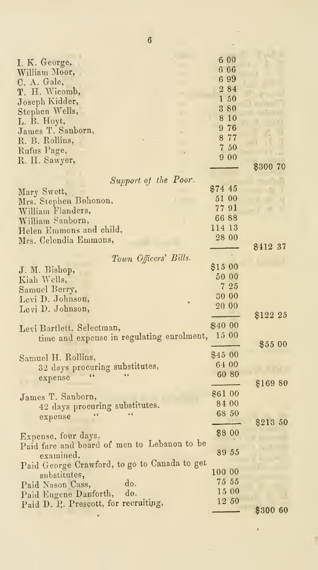|                                              | 6 00     |            |
|----------------------------------------------|----------|------------|
| I. K. George,                                | $6\,66$  |            |
| William Moor,                                | 699      |            |
| C. A. Gale,                                  |          |            |
| T. H. Wieomb,                                | 284      |            |
| Joseph Kidder,                               | 1 50     |            |
| Stephen Wells,                               | 380      |            |
| L. B. Hoyt,                                  | 8 10     |            |
|                                              | 9 76     |            |
| James T. Sanborn,                            | 8 77     |            |
| R. B. Rollins,                               | 7 50     |            |
| Rufus Page,                                  |          |            |
| R. H. Sawyer,                                | 9 0 0    |            |
|                                              |          | \$300 70   |
| Support of the Poor.                         |          |            |
|                                              | \$74 45  |            |
| Mary Swett,                                  | 51 00    |            |
| Mrs. Stephen Bohonon,                        | $77\;91$ |            |
| William Flanders,                            |          |            |
| William Sanborn,                             | 6688     |            |
| Helen Emmons and child,                      | 114 13   |            |
| Mrs. Celendia Emmons,                        | $28\,00$ |            |
|                                              |          | \$41237    |
| Town Officers' Bills.                        |          |            |
| J. M. Bishop,                                | \$15 00  |            |
|                                              | $50\;00$ |            |
| Kiah Wells,                                  | 725      |            |
| Samuel Berry,                                | 3000     |            |
| Levi D. Johnson,                             | $20\,00$ |            |
| Levi D. Johnson,                             |          |            |
|                                              |          | $$122\;25$ |
| Levi Bartlett. Selectman,                    | \$40 00  |            |
| time and expense in regulating enrolment,    | 15 00    |            |
|                                              |          | \$55 00    |
| Samuel H. Rollins,                           | \$45 00  |            |
| 32 days procuring substitutes,               | 64 00    |            |
| $\sim$ 66                                    | 60 80    |            |
| expense                                      |          | \$16980    |
|                                              | \$61 00  |            |
| James T. Sanborn,                            | 84 00    |            |
| 42 days procuring substitutes.               |          |            |
| 66<br>expense                                | 68 50    |            |
|                                              |          | \$213 50   |
| Expense, four days,                          | \$8 00   |            |
| Paid fare and board of men to Lebanon to be  |          |            |
| examined,                                    | 89 55    |            |
| Paid George Crawford, to go to Canada to get |          |            |
| substitutes,                                 | 100 00   |            |
| do.<br>Paid Nason Cass,                      | 75 55    |            |
| Paid Eugene Danforth, do.                    | 15 00    |            |
|                                              | 12 50    |            |
| Paid D. P. Prescott, for recruiting,         |          | \$300 60   |
|                                              |          |            |

ï

 $\overline{6}$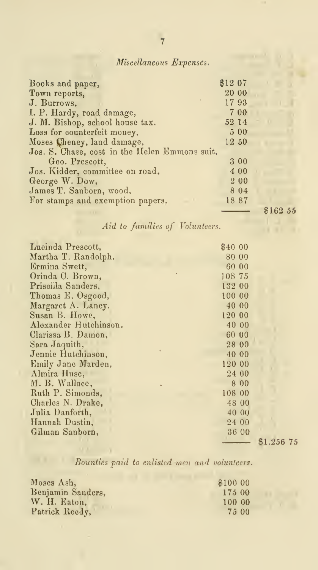#### Miscellaneous Expenses,

| Books and paper,                              | \$1207 |  |
|-----------------------------------------------|--------|--|
| Town reports,                                 | 20 00  |  |
| J. Burrows,                                   | 1793   |  |
| I. P. Hardy, road damage,                     | 7 00   |  |
| J. M. Bishop, school house tax.               | 52 14  |  |
| Loss for counterfeit money,                   | 5 00   |  |
| Moses Cheney, land damage,                    | 12 50  |  |
| Jos. S. Chase, cost in the Helen Emmons suit. |        |  |
| Geo. Prescott,                                | 3 00   |  |
| Jos. Kidder, committee on road,               | 4 00   |  |
| George W. Dow,                                | 2 00   |  |
| James T. Sanborn, wood,                       | 8 0 4  |  |
| For stamps and exemption papers.              | 1887   |  |
|                                               |        |  |

\$162 55

### Aid to families of Volunteers.

| Lucinda Prescott,     | \$40 00 |
|-----------------------|---------|
| Martha T. Randolph,   | 80 00   |
| Ermina Swett,         | 60 00   |
| Orinda C. Brown,      | 108 75  |
| Priscilla Sanders,    | 132 00  |
| Thomas E. Osgood,     | 100 00  |
| Margaret A. Laney,    | 40 00   |
| Susan B. Howe,        | 120 00  |
| Alexander Hutchinson. | 40 00   |
| Clarissa B. Damon,    | 60 00   |
| Sara Jaquith,         | 28 00   |
| Jennie Hutchinson,    | 40 00   |
| Emily Jane Marden,    | 120 00  |
| Almira Huse,          | 24 00   |
| M. B. Wallace,        | 8 0 0   |
| Ruth P. Simonds.      | 108 00  |
| Charles N. Drake.     | 48 00   |
| Julia Danforth,       | 40 00   |
| Hannah Dustin,        | 24 00   |
| Gilman Sanborn,       | 36 00   |
|                       |         |

\$1.256 75

Bounties paid to enlisted men and volunteers.

| Moses Ash.        | \$100 00 |
|-------------------|----------|
| Benjamin Sanders, | 175 00   |
| W. H. Eaton,      | 100 00   |
| Patrick Reedy,    | 75 00    |

 $M(A) = -A$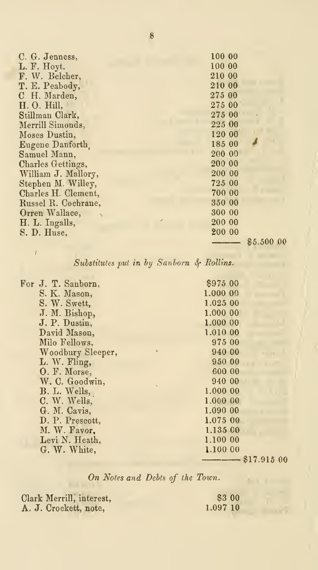| C. G. Jenness,      | 100 00 |
|---------------------|--------|
| L. F. Hoyt.         | 100 00 |
| F. W. Belcher,      | 210 00 |
| T. E. Peabody,      | 210 00 |
| C. H. Marden,       | 275 00 |
| H. O. Hill,         | 275 00 |
| Stillman Clark,     | 275 00 |
| Merrill Simonds,    | 225 00 |
| Moses Dustin,       | 120 00 |
| Eugene Danforth     | 185 00 |
| Samuel Mann,        | 200 00 |
| Charles Gettings,   | 200 00 |
| William J. Mallory, | 200 00 |
| Stephen M. Willey,  | 725 00 |
| Charles H. Clement, | 700 00 |
| Russel R. Cochrane, | 350 00 |
| Orren Wallace,      | 300 00 |
| H. L. Ingalls,      | 200 00 |
| S. D. Huse,         | 200 00 |
|                     | 255000 |

 $\bar{t}$ 

```
$5,500 00
```
bi I

Substitutes put in by Sanborn & Rollins.

| For J. T. Sanborn, | \$975 00        |  |
|--------------------|-----------------|--|
| S. K. Mason,       | 1.000 00        |  |
| S. W. Swett,       | 1.025 00        |  |
| J. M. Bishop,      | 1.000 00        |  |
| J. P. Dustin,      | 1.000 00        |  |
| David Mason,       | 1.010 00        |  |
| Milo Fellows,      | 975 00          |  |
| Woodbury Sleeper,  | 940 00<br>31 11 |  |
| L. W. Fling,       | 950 00          |  |
| O. F. Morse,       | 600 00          |  |
| W. C. Goodwin,     | 940 00          |  |
| B. L. Wells,       | 1.000 00        |  |
| C. W. Wells,       | 1.000 00        |  |
| G. M. Cavis.       | 1.090 00        |  |
| D. P. Prescott,    | 1.075 00        |  |
| M. W. Favor.       | 1.135 00        |  |
| Levi N. Heath,     | 1.100 00        |  |
| G. W. White,       | 1.100 00        |  |
|                    | \$17.915 00     |  |

On Notes and Debts of the Town.

| Clark Merrill, interest, | \$3 00   |
|--------------------------|----------|
| A. J. Crockett, note,    | 1.097 10 |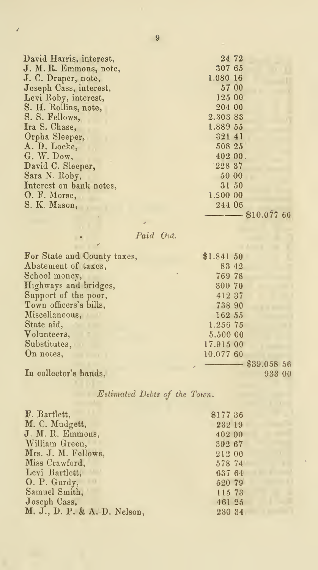David Harris, interest, 24 72<br>
J. M. R. Emmons, note, 207 65 **J. M. R. Emmons, note, 307 65<br>
J. C. Draner, note, 307 65** J. C. Draper, note, 1.080 16<br>
Joseph Cass. interest. 67 00 Joseph Cass, interest, 57 00 Levi Roby, interest, S. H. Rollins, note, 204 00<br>
S. S. Fellows. 2.308 83 S. S. Fellows, Ira S. Chase, 1.889 55 Orpha Sleeper, 321 41<br>A. D. Locke. 508 25 A. D. Locke, G. W. Dow, 402 00, 402 00, 402 00, 402 00, 402 00, 402 00, 403 00, 403 00, 403 00, 403 00, 403 00, 40 David C. Sleeper,  $Sara N. Roby,$  50 00 Interest on bank notes, 31 50 O. F. Morse, 1.200 00 S. K. Mason, 244 06

 $-$  \$10.077 60

Paid Out.

| For State and County taxes, | \$1.84150 |
|-----------------------------|-----------|
|                             |           |
| Abatement of taxes,         | 83 42     |
| School money,               | 769 78    |
| Highways and bridges,       | 300 70    |
| Support of the poor,        | 412 37    |
| Town officers's bills,      | 738 90    |
| Miscellaneous,              | 162 55    |
| State aid,                  | 1.256 75  |
| Volunteers,                 | 5.500 00  |
| Substitutes,                | 17.915 00 |
| On notes,                   | 10.077 60 |
|                             | 839.05856 |
| In collector's hands,       | 933 00    |

Estimated Debts of the Town.

| F. Bartlett,                 | \$177 36 |
|------------------------------|----------|
| M. C. Mudgett,               | 232 19   |
| J. M. R. Emmons,             | 402 00   |
| William Green,               | 392 67   |
| Mrs. J. M. Fellows,          | 212 00   |
| Miss Crawford,               | 578 74   |
| Levi Bartlett,               | 637 64   |
| O. P. Gurdy,                 | 520 79   |
| Samuel Smith,                | 115 73   |
| Joseph Cass,                 | 461 25   |
| M. J., D. P. & A. D. Nelson, | 230 34   |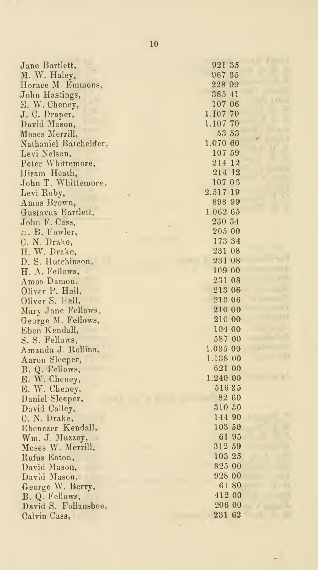| Jane Bartlett,        | 921 35    |  |
|-----------------------|-----------|--|
| M. W. Haley,          | 967 35    |  |
| Horace M. Emmons,     | 228 09    |  |
| John Hastings,        | 385 41    |  |
| E. W. Cheney,         | 107 06    |  |
| J. C. Draper,         | 1.107 70  |  |
| David Mason,          | 1.107 70  |  |
| Moses Merrill,        | 53 53     |  |
| Nathaniel Batchelder, | 1.070 60  |  |
| Levi Nelson,          | 10759     |  |
| Peter Whittemore,     | $214\;12$ |  |
| Hiram Heath,          | 214 12    |  |
| John T. Whittemore,   | 107 05    |  |
| Levi Roby,            | 2.517 19  |  |
| Amos Brown,           | 898 99    |  |
| Gustavus Bartlett,    | 1.062 65  |  |
| John F. Cass,         | 230 34    |  |
| n. B. Fowler,         | 205 00    |  |
| C. N. Drake,          | 173 34    |  |
| H. W. Drake,          | 231 08    |  |
| D. S. Hutchinson,     | 231 08    |  |
| H. A. Fellows,        | 109 00    |  |
| Amos Damon.           | 231 08    |  |
| Oliver P. Hall,       | 213 06    |  |
| Oliver S. Hall,       | 213 06    |  |
| Mary Jane Fellows,    | 210 00    |  |
| George M. Fellows,    | 210 00    |  |
| Eben Kendall,         | 104 00    |  |
| S. S. Fellows,        | 587 00    |  |
| Amanda J. Rollins,    | 1.035 00  |  |
| Aaron Sleeper,        | 1.138 00  |  |
| B. Q. Fellows,        | 621 00    |  |
| E. W. Cheney,         | 1.240 00  |  |
| E. W. Cheney,         | 516~35    |  |
| Daniel Sleeper,       | 82 60     |  |
| David Calley,         | 310 50    |  |
| C. N. Drake,          | 144 90    |  |
| Ebenezer Kendall,     | $103\,50$ |  |
| Wm. J. Muzzey,        | 6195      |  |
| Moses W. Merrill,     | 312 59    |  |
| Rufus Eaton,          | 103 25    |  |
| David Mason,          | 825 00    |  |
| David Mason,          | 928 00    |  |
| George W. Berry,      | 61 80     |  |
| B. Q. Fellows,        | 412 00    |  |
| David S. Follansbee,  | 206 00    |  |
| Calvin Cass,          | 231 62    |  |
|                       |           |  |

| 35                               |
|----------------------------------|
| $35\,$                           |
| 09                               |
| 41                               |
| $\overline{06}$                  |
|                                  |
| 70                               |
| 70                               |
| 53                               |
| 60                               |
| 59                               |
|                                  |
| $12\,$                           |
| 12                               |
| 05                               |
| 19                               |
| 99                               |
| 65                               |
|                                  |
| 34                               |
| 0 <sub>0</sub>                   |
| 34                               |
| 08                               |
| 08                               |
|                                  |
| 0 <sub>0</sub>                   |
| 08                               |
| 06                               |
| 06                               |
| 0 <sub>0</sub>                   |
| 0 <sub>0</sub>                   |
|                                  |
| 0 <sub>0</sub>                   |
| 0 <sub>0</sub>                   |
| 00                               |
| 0 <sub>0</sub>                   |
| 0 <sub>0</sub>                   |
|                                  |
| 0 <sub>0</sub>                   |
| 35                               |
| 60                               |
| 50                               |
|                                  |
| 90                               |
|                                  |
| 50                               |
| 95                               |
| 59                               |
| $\overline{25}$                  |
| 0 <sub>0</sub>                   |
| 0 <sub>0</sub>                   |
| 80                               |
|                                  |
| 0 <sub>0</sub><br>0 <sub>0</sub> |
|                                  |

 $\epsilon$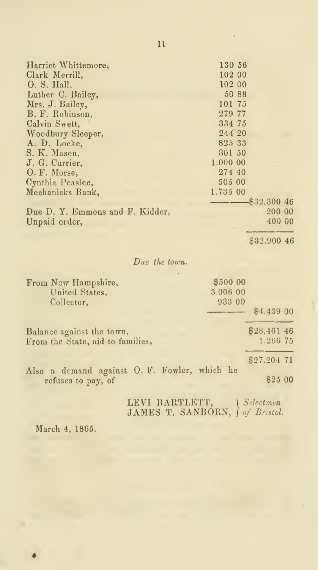| Harriet Whittemore,<br>Clark Merrill,<br>O. S. Hall,<br>Luther C. Bailey,<br>Mrs. J. Bailey,<br>B. F. Robinson,<br>Calvin Swett,<br>Woodbury Sleeper,<br>A. D. Locke,<br>S. K. Mason,<br>J. G. Currier,<br>O. F. Morse,<br>Cynthia Peaslee,<br>Mechanicks Bank, | 130 56<br>102 00<br>102 00<br>50 88<br>10175<br>279 77<br>334 75<br>244 20<br>825 33<br>301 50<br>1.000 00<br>274 40<br>505 00<br>1.735 00 |                           |  |
|-----------------------------------------------------------------------------------------------------------------------------------------------------------------------------------------------------------------------------------------------------------------|--------------------------------------------------------------------------------------------------------------------------------------------|---------------------------|--|
| Due D. Y. Emmons and F. Kidder,                                                                                                                                                                                                                                 |                                                                                                                                            | $-$ \$32.300 46<br>200 00 |  |
| Unpaid order,                                                                                                                                                                                                                                                   |                                                                                                                                            | 400 00                    |  |
|                                                                                                                                                                                                                                                                 |                                                                                                                                            | \$32.900 46               |  |
|                                                                                                                                                                                                                                                                 | Due the town.                                                                                                                              |                           |  |
| From New Hampshire,<br>United States,<br>Collector,                                                                                                                                                                                                             | \$500 00<br>3.006 00<br>933 00                                                                                                             | \$4.439 00                |  |
| Balance against the town,<br>From the State, aid to families,                                                                                                                                                                                                   |                                                                                                                                            | \$28.461 46<br>1.266 75   |  |
| Also a demand against O. F. Fowler, which he<br>refuses to pay, of                                                                                                                                                                                              |                                                                                                                                            | \$27.204 71<br>\$2500     |  |
|                                                                                                                                                                                                                                                                 | LEVI BARTLETT,<br>JAMES T. SANBORN, $\int$ of Bristol.                                                                                     | <i>Selectmen</i>          |  |

March 4, 1865.

11

 $\bar{\bar{z}}$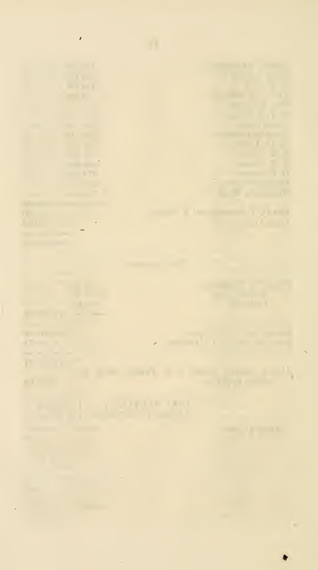

 $\mathcal{L}$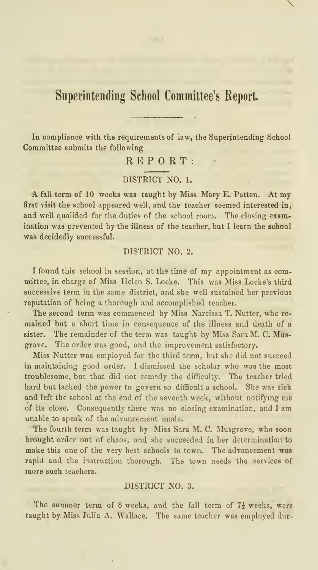## Superintending School Committee's Report,

 $\sum_{i=1}^n \alpha_i$ 

In compliance with the requirements of law, the Superintending School Committee submits the following

#### REPORT:

#### DISTRICT NO. 1.

A fall term of 10 weeks was taught by Miss Mary E. Patten. At my first visit the school appeared well, and the teacher seemed interested in, and well qualified for the duties of the school room. The closing examination was prevented by the illness of the teacher, but I learn the school was decidedly successful.

#### DISTRICT NO. 2.

<sup>I</sup> found this school in session, at the time of my appointment as committee, in charge of Miss Helen S. Locke. This was Miss Locke's third successive term in the same district, and she well sustained her previous reputation of being a thorough and accomplished teacher.

The second term was commenced by Miss Narcissa T. Nutter, who re mained but a short time in consequence of the illness and death of a sister. The remainder of the term was taught by Miss Sara M. C. Musgrove. The order was good, and the improvement satisfactory.

Miss Nutter was employed for the third term, but she did not succeed in maintaining good order. <sup>I</sup> dismissed the scholar who was the most troublesome, but that did not remedy the difficulty. The teacher tried hard but lacked the power to govern so difficult a school. She was sick and left the school at the end of the seventh week, without notifying me of its close. Consequently there was no closing examination, and <sup>I</sup> am unable to speak of the advancement made.

The fourth term was taught by Miss Sara M. C. Musgrove, who soon brought order out of chaos, and she succeeded in her determination to make this one of the very best schools in town. The advancement was rapid and the instruction thorough. The town needs the services of more such teachers.

#### DISTRICT NO. 3.

The summer term of 8 weeks, and the fall term of 74 weeks, were taught by Miss Julia A. Wallace. The same teacher was employed dur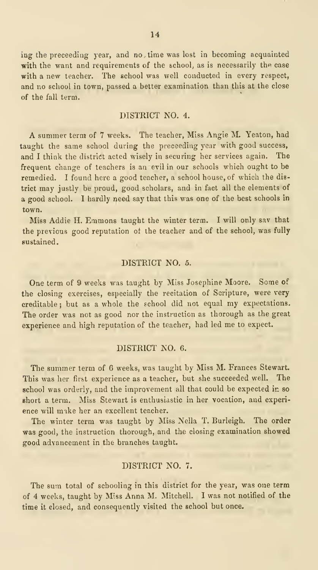ing the preceeding year, and no time was lost in becoming acquainted with the want and requirements of the school, as is necessarily the case with a new teacher. The school was well conducted in every respect. and no school in town, passed a better examination than this at the close of the fall term.

#### DISTRICT NO. 4.

A summer term of <sup>7</sup> weeks. The teacher, Miss Angie M. Yeaton, had taught the same school during the preceeding year with good success, and <sup>I</sup> think the district acted wisely in securing her services again. The frequent change of teachers is an evil in our schools which ought to be remedied. <sup>I</sup> found here a good teacher, a school house, of which the district may justly be proud, good scholars, and in fact all the elements of a good school. <sup>I</sup> hardly need say that this was one of the best schools in town.

Miss Addie H. Emmons taught the winter term. <sup>I</sup> will only sav that the previous good reputation of the teacher and of the school, was fully sustained.

#### DISTRICT NO. 5.

One term of 9 weeks was taught by Miss Josephine Moore. Some of the closing exercises, especially the recitation of Scripture, were very creditable ; but as <sup>a</sup> whole the school did not equal my expectations. The order was not as good nor the instruction as thorough as the great experience and high reputation of the teacher, had led me to expect.

#### DISTRICT NO. 6.

The summer term of 6 weeks, was taught by Miss M. Frances Stewart. This was her first experience as a teacher, but she succeeded well. The school was orderly, and the improvement all that could be expected in so short a term. Miss Stewart is enthusiastic in her vocation, and experi ence will make her an excellent teacher.

The winter term was taught by Miss Nella T. Burleigh. The order was good, the instruction thorough, and the closing examination showed good advancement in the branches taught.

#### DISTRICT NO. 7.

The sum total of schooling in this district for the year, was one term of 4 weeks, taught by Miss Anna M. Mitchell. <sup>I</sup> was not notified of the time it closed, and consequently visited the school but once.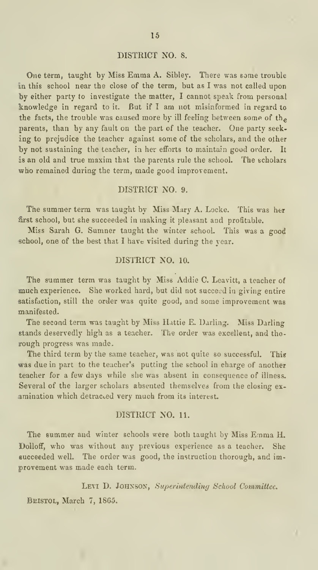#### DISTRICT NO. 8.

One term, taught by Miss Emma A. Sibley. There was same trouble in this school near the close of the term, but as I was not called upon by either party to investigate the matter, <sup>I</sup> cannot speak from personal knowledge in regard to it. But if <sup>I</sup> am not misinformed in regard to the facts, the trouble was caused more by ill feeling between some of the parents, than by any fault on the part of the teacher. One party seek ing to prejudice the teacher against some of the scholars, and the other by not sustaining the teacher, in her efforts to maintain good order. It is an old and true maxim that the parents rule the school. The scholars who remained during the term, made good improvement.

#### DISTRICT NO. 9.

The summer term was taught by Miss Mary A. Locke. This was her first school, but she succeeded in making it pleasant and profitable.

Miss Sarah G. Sumner taught the winter schooL This was a good school, one of the best that <sup>I</sup> have visited during the year.

#### DISTRICT NO. 10.

The summer term was taught by Miss Addie C. Leavitt, a teacher of much experience. She worked hard, but did not succeed in giving entire satisfaction, still the order was quite good, and some improvement was manifested.

The second term was taught by Miss Hattie E. Darling. Miss Darling stands deservedly high as a teacher. The order was excellent, and tho rough progress was made.

The third term by the same teacher, was not quite so successful. This was due in part to the teacher's putting the school in charge of another teacher for a few days while she was absent in consequence of illness. Several of the larger scholars absented themselves from the closing ex amination which detracted very much from its interest.

#### DISTRICT NO. 11.

The summer and winter schools were both taught by Miss Enma H. Dolloff, who was without any previous experience as a teacher. She succeeded well. The order was good, the instruction thorough, and improvement was made each term.

LEVI D. JOHNSON, Superintending School Committee. Beistol, March 7, 1865.